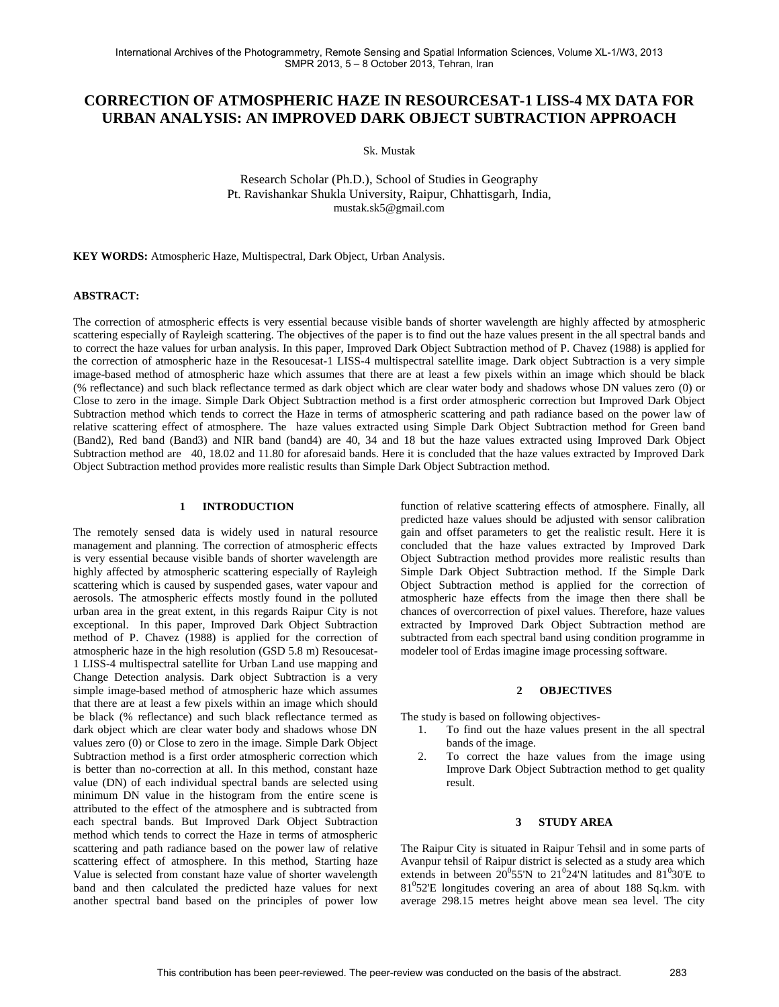# **CORRECTION OF ATMOSPHERIC HAZE IN RESOURCESAT-1 LISS-4 MX DATA FOR URBAN ANALYSIS: AN IMPROVED DARK OBJECT SUBTRACTION APPROACH**

Sk. Mustak

Research Scholar (Ph.D.), School of Studies in Geography Pt. Ravishankar Shukla University, Raipur, Chhattisgarh, India, mustak.sk5@gmail.com

**KEY WORDS:** Atmospheric Haze, Multispectral, Dark Object, Urban Analysis.

#### **ABSTRACT:**

The correction of atmospheric effects is very essential because visible bands of shorter wavelength are highly affected by atmospheric scattering especially of Rayleigh scattering. The objectives of the paper is to find out the haze values present in the all spectral bands and to correct the haze values for urban analysis. In this paper, Improved Dark Object Subtraction method of P. Chavez (1988) is applied for the correction of atmospheric haze in the Resoucesat-1 LISS-4 multispectral satellite image. Dark object Subtraction is a very simple image-based method of atmospheric haze which assumes that there are at least a few pixels within an image which should be black (% reflectance) and such black reflectance termed as dark object which are clear water body and shadows whose DN values zero (0) or Close to zero in the image. Simple Dark Object Subtraction method is a first order atmospheric correction but Improved Dark Object Subtraction method which tends to correct the Haze in terms of atmospheric scattering and path radiance based on the power law of relative scattering effect of atmosphere. The haze values extracted using Simple Dark Object Subtraction method for Green band (Band2), Red band (Band3) and NIR band (band4) are 40, 34 and 18 but the haze values extracted using Improved Dark Object Subtraction method are 40, 18.02 and 11.80 for aforesaid bands. Here it is concluded that the haze values extracted by Improved Dark Object Subtraction method provides more realistic results than Simple Dark Object Subtraction method.

#### **1 INTRODUCTION**

The remotely sensed data is widely used in natural resource management and planning. The correction of atmospheric effects is very essential because visible bands of shorter wavelength are highly affected by atmospheric scattering especially of Rayleigh scattering which is caused by suspended gases, water vapour and aerosols. The atmospheric effects mostly found in the polluted urban area in the great extent, in this regards Raipur City is not exceptional. In this paper, Improved Dark Object Subtraction method of P. Chavez (1988) is applied for the correction of atmospheric haze in the high resolution (GSD 5.8 m) Resoucesat-1 LISS-4 multispectral satellite for Urban Land use mapping and Change Detection analysis. Dark object Subtraction is a very simple image-based method of atmospheric haze which assumes that there are at least a few pixels within an image which should be black (% reflectance) and such black reflectance termed as dark object which are clear water body and shadows whose DN values zero (0) or Close to zero in the image. Simple Dark Object Subtraction method is a first order atmospheric correction which is better than no-correction at all. In this method, constant haze value (DN) of each individual spectral bands are selected using minimum DN value in the histogram from the entire scene is attributed to the effect of the atmosphere and is subtracted from each spectral bands. But Improved Dark Object Subtraction method which tends to correct the Haze in terms of atmospheric scattering and path radiance based on the power law of relative scattering effect of atmosphere. In this method, Starting haze Value is selected from constant haze value of shorter wavelength band and then calculated the predicted haze values for next another spectral band based on the principles of power low

function of relative scattering effects of atmosphere. Finally, all predicted haze values should be adjusted with sensor calibration gain and offset parameters to get the realistic result. Here it is concluded that the haze values extracted by Improved Dark Object Subtraction method provides more realistic results than Simple Dark Object Subtraction method. If the Simple Dark Object Subtraction method is applied for the correction of atmospheric haze effects from the image then there shall be chances of overcorrection of pixel values. Therefore, haze values extracted by Improved Dark Object Subtraction method are subtracted from each spectral band using condition programme in modeler tool of Erdas imagine image processing software.

#### **2 OBJECTIVES**

The study is based on following objectives-

- 1. To find out the haze values present in the all spectral bands of the image.
- 2. To correct the haze values from the image using Improve Dark Object Subtraction method to get quality result.

#### **3 STUDY AREA**

The Raipur City is situated in Raipur Tehsil and in some parts of Avanpur tehsil of Raipur district is selected as a study area which extends in between  $20^0$ 55'N to 21<sup>0</sup>24'N latitudes and 81<sup>0</sup>30'E to 81<sup>0</sup> 52'E longitudes covering an area of about 188 Sq.km. with average 298.15 metres height above mean sea level. The city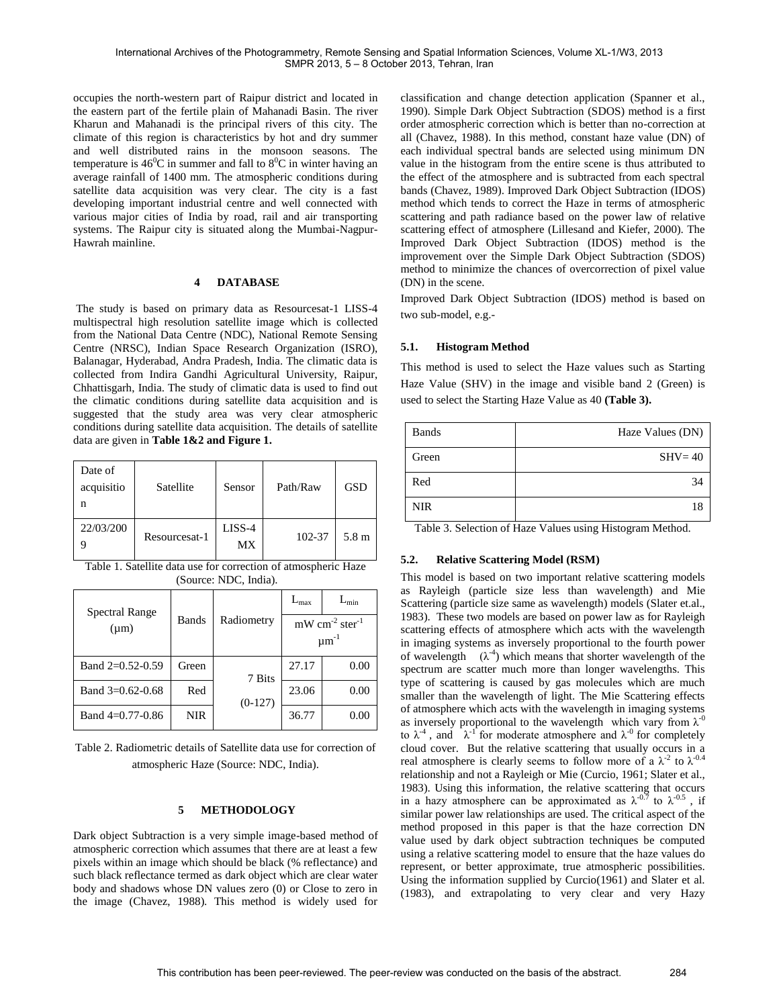occupies the north-western part of Raipur district and located in the eastern part of the fertile plain of Mahanadi Basin. The river Kharun and Mahanadi is the principal rivers of this city. The climate of this region is characteristics by hot and dry summer and well distributed rains in the monsoon seasons. The temperature is  $46^{\circ}\text{C}$  in summer and fall to  $8^{\circ}\text{C}$  in winter having an average rainfall of 1400 mm. The atmospheric conditions during satellite data acquisition was very clear. The city is a fast developing important industrial centre and well connected with various major cities of India by road, rail and air transporting systems. The Raipur city is situated along the Mumbai-Nagpur-Hawrah mainline.

#### **4 DATABASE**

The study is based on primary data as Resourcesat-1 LISS-4 multispectral high resolution satellite image which is collected from the National Data Centre (NDC), National Remote Sensing Centre (NRSC), Indian Space Research Organization (ISRO), Balanagar, Hyderabad, Andra Pradesh, India. The climatic data is collected from Indira Gandhi Agricultural University, Raipur, Chhattisgarh, India. The study of climatic data is used to find out the climatic conditions during satellite data acquisition and is suggested that the study area was very clear atmospheric conditions during satellite data acquisition. The details of satellite data are given in **Table 1&2 and Figure 1.**

| Date of<br>acquisitio<br>n | Satellite     | Sensor       | Path/Raw | <b>GSD</b>       |
|----------------------------|---------------|--------------|----------|------------------|
| 22/03/200                  | Resourcesat-1 | LISS-4<br>МX | 102-37   | 5.8 <sub>m</sub> |

Table 1. Satellite data use for correction of atmospheric Haze (Source: NDC, India).

| <b>Spectral Range</b> |              |            | $L_{\text{max}}$                         | $L_{\text{min}}$ |  |
|-----------------------|--------------|------------|------------------------------------------|------------------|--|
| $(\mu m)$             | <b>Bands</b> | Radiometry | $mW$ cm <sup>-2</sup> ster <sup>-1</sup> |                  |  |
|                       |              |            | $\mu$ m <sup>-1</sup>                    |                  |  |
| Band 2=0.52-0.59      | Green        | 7 Bits     | 27.17                                    | 0.00             |  |
| Band 3=0.62-0.68      | Red          | $(0-127)$  | 23.06                                    | 0.00             |  |
| Band 4=0.77-0.86      | <b>NIR</b>   |            | 36.77                                    | 0.00             |  |

Table 2. Radiometric details of Satellite data use for correction of atmospheric Haze (Source: NDC, India).

# **5 METHODOLOGY**

Dark object Subtraction is a very simple image-based method of atmospheric correction which assumes that there are at least a few pixels within an image which should be black (% reflectance) and such black reflectance termed as dark object which are clear water body and shadows whose DN values zero (0) or Close to zero in the image (Chavez, 1988). This method is widely used for

classification and change detection application (Spanner et al., 1990). Simple Dark Object Subtraction (SDOS) method is a first order atmospheric correction which is better than no-correction at all (Chavez, 1988). In this method, constant haze value (DN) of each individual spectral bands are selected using minimum DN value in the histogram from the entire scene is thus attributed to the effect of the atmosphere and is subtracted from each spectral bands (Chavez, 1989). Improved Dark Object Subtraction (IDOS) method which tends to correct the Haze in terms of atmospheric scattering and path radiance based on the power law of relative scattering effect of atmosphere (Lillesand and Kiefer, 2000). The Improved Dark Object Subtraction (IDOS) method is the improvement over the Simple Dark Object Subtraction (SDOS) method to minimize the chances of overcorrection of pixel value (DN) in the scene.

Improved Dark Object Subtraction (IDOS) method is based on two sub-model, e.g.-

# **5.1. Histogram Method**

This method is used to select the Haze values such as Starting Haze Value (SHV) in the image and visible band 2 (Green) is used to select the Starting Haze Value as 40 **(Table 3).**

| <b>Bands</b> | Haze Values (DN) |
|--------------|------------------|
| Green        | $SHV = 40$       |
| Red          | 34               |
| <b>NIR</b>   |                  |

Table 3. Selection of Haze Values using Histogram Method.

# **5.2. Relative Scattering Model (RSM)**

This model is based on two important relative scattering models as Rayleigh (particle size less than wavelength) and Mie Scattering (particle size same as wavelength) models (Slater et.al., 1983). These two models are based on power law as for Rayleigh scattering effects of atmosphere which acts with the wavelength in imaging systems as inversely proportional to the fourth power of wavelength  $(\lambda^4)$  which means that shorter wavelength of the spectrum are scatter much more than longer wavelengths. This type of scattering is caused by gas molecules which are much smaller than the wavelength of light. The Mie Scattering effects of atmosphere which acts with the wavelength in imaging systems as inversely proportional to the wavelength which vary from  $\lambda^{0}$ to  $\lambda^{-4}$ , and  $\lambda^{-1}$  for moderate atmosphere and  $\lambda^{-0}$  for completely cloud cover. But the relative scattering that usually occurs in a real atmosphere is clearly seems to follow more of a  $\lambda^{-2}$  to  $\lambda^{-0.4}$ relationship and not a Rayleigh or Mie (Curcio, 1961; Slater et al., 1983). Using this information, the relative scattering that occurs in a hazy atmosphere can be approximated as  $\lambda^{-0.7}$  to  $\lambda^{-0.5}$ , if similar power law relationships are used. The critical aspect of the method proposed in this paper is that the haze correction DN value used by dark object subtraction techniques be computed using a relative scattering model to ensure that the haze values do represent, or better approximate, true atmospheric possibilities. Using the information supplied by Curcio(1961) and Slater et al. (1983), and extrapolating to very clear and very Hazy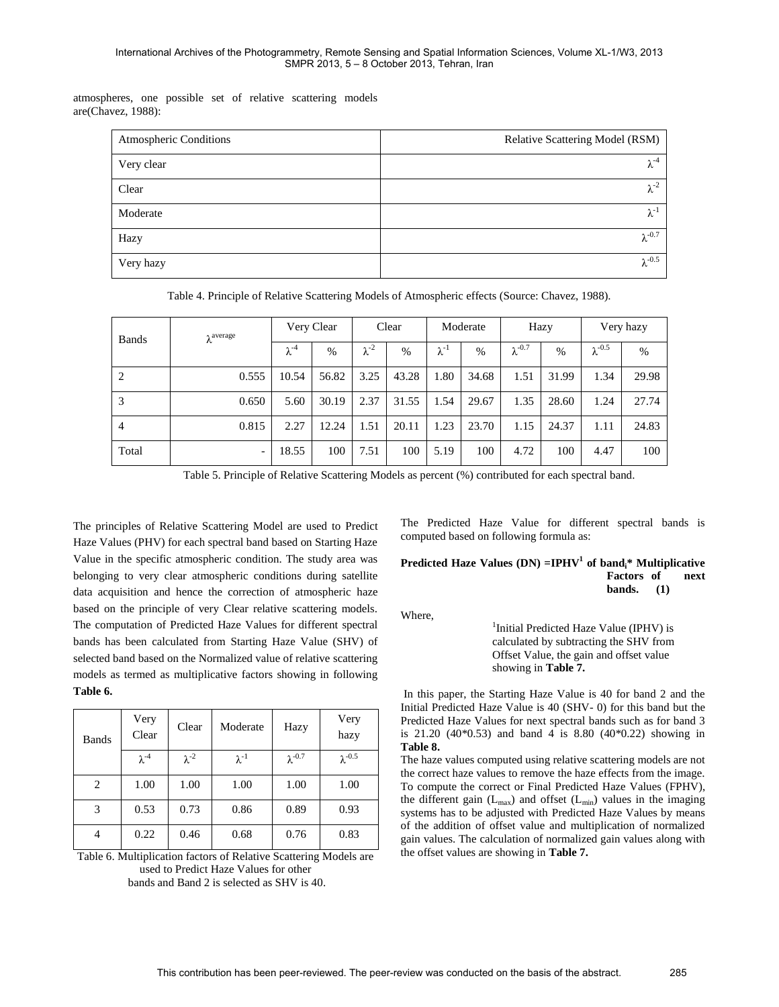atmospheres, one possible set of relative scattering models are(Chavez, 1988):

| Atmospheric Conditions | Relative Scattering Model (RSM) |
|------------------------|---------------------------------|
| Very clear             | $\sim -4$<br>Λ                  |
| Clear                  | $\lambda^{-2}$                  |
| Moderate               | $\lambda^{-1}$                  |
| Hazy                   | $\lambda^{\text{-}0.7}$         |
| Very hazy              | $\lambda^{-0.5}$                |

Table 4. Principle of Relative Scattering Models of Atmospheric effects (Source: Chavez, 1988).

| h average<br><b>Bands</b> |       | Very Clear     |       | Clear          |       | Moderate       |       | Hazy             |       | Very hazy        |       |
|---------------------------|-------|----------------|-------|----------------|-------|----------------|-------|------------------|-------|------------------|-------|
|                           |       | $\lambda^{-4}$ | %     | $\lambda^{-2}$ | $\%$  | $\lambda^{-1}$ | $\%$  | $\lambda^{-0.7}$ | $\%$  | $\lambda^{-0.5}$ | $\%$  |
| 2                         | 0.555 | 10.54          | 56.82 | 3.25           | 43.28 | 1.80           | 34.68 | 1.51             | 31.99 | 1.34             | 29.98 |
| 3                         | 0.650 | 5.60           | 30.19 | 2.37           | 31.55 | 1.54           | 29.67 | 1.35             | 28.60 | 1.24             | 27.74 |
| 4                         | 0.815 | 2.27           | 12.24 | 1.51           | 20.11 | 1.23           | 23.70 | 1.15             | 24.37 | 1.11             | 24.83 |
| Total                     | -     | 18.55          | 100   | 7.51           | 100   | 5.19           | 100   | 4.72             | 100   | 4.47             | 100   |

Table 5. Principle of Relative Scattering Models as percent (%) contributed for each spectral band.

The principles of Relative Scattering Model are used to Predict Haze Values (PHV) for each spectral band based on Starting Haze Value in the specific atmospheric condition. The study area was belonging to very clear atmospheric conditions during satellite data acquisition and hence the correction of atmospheric haze based on the principle of very Clear relative scattering models. The computation of Predicted Haze Values for different spectral bands has been calculated from Starting Haze Value (SHV) of selected band based on the Normalized value of relative scattering models as termed as multiplicative factors showing in following **Table 6.**

| <b>Bands</b> | Very<br>Clear  | Clear          | Moderate       | Hazy             | Very<br>hazy     |
|--------------|----------------|----------------|----------------|------------------|------------------|
|              | $\lambda^{-4}$ | $\lambda^{-2}$ | $\lambda^{-1}$ | $\lambda^{-0.7}$ | $\lambda^{-0.5}$ |
| 2            | 1.00           | 1.00           | 1.00           | 1.00             | 1.00             |
| 3            | 0.53           | 0.73           | 0.86           | 0.89             | 0.93             |
| 4            | 0.22           | 0.46           | 0.68           | 0.76             | 0.83             |

Table 6. Multiplication factors of Relative Scattering Models are used to Predict Haze Values for other bands and Band 2 is selected as SHV is 40.

The Predicted Haze Value for different spectral bands is computed based on following formula as:

#### **Predicted Haze Values (DN) =IPHV<sup>1</sup> of bandi\* Multiplicative Factors of next bands. (1)**

Where,

<sup>1</sup>Initial Predicted Haze Value (IPHV) is calculated by subtracting the SHV from Offset Value, the gain and offset value showing in **Table 7.**

In this paper, the Starting Haze Value is 40 for band 2 and the Initial Predicted Haze Value is 40 (SHV- 0) for this band but the Predicted Haze Values for next spectral bands such as for band 3 is 21.20 (40\*0.53) and band 4 is 8.80 (40\*0.22) showing in **Table 8.**

The haze values computed using relative scattering models are not the correct haze values to remove the haze effects from the image. To compute the correct or Final Predicted Haze Values (FPHV), the different gain  $(L_{max})$  and offset  $(L_{min})$  values in the imaging systems has to be adjusted with Predicted Haze Values by means of the addition of offset value and multiplication of normalized gain values. The calculation of normalized gain values along with the offset values are showing in **Table 7.**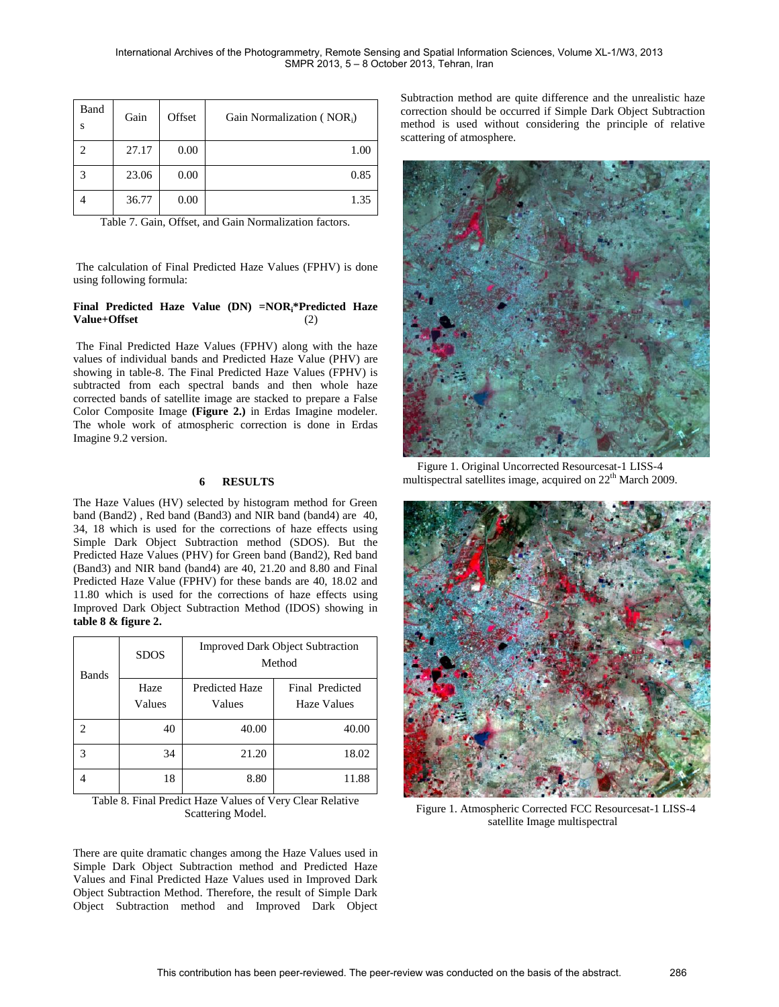| Band<br>S | Gain  | Offset | Gain Normalization (NOR <sub>i</sub> ) |
|-----------|-------|--------|----------------------------------------|
|           | 27.17 | 0.00   | 1.00                                   |
| 3         | 23.06 | 0.00   | 0.85                                   |
|           | 36.77 | 0.00   | 1.35                                   |

Table 7. Gain, Offset, and Gain Normalization factors.

The calculation of Final Predicted Haze Values (FPHV) is done using following formula:

## **Final Predicted Haze Value (DN) =NORi\*Predicted Haze Value+Offset** (2)

The Final Predicted Haze Values (FPHV) along with the haze values of individual bands and Predicted Haze Value (PHV) are showing in table-8. The Final Predicted Haze Values (FPHV) is subtracted from each spectral bands and then whole haze corrected bands of satellite image are stacked to prepare a False Color Composite Image **(Figure 2.)** in Erdas Imagine modeler. The whole work of atmospheric correction is done in Erdas Imagine 9.2 version.

#### **6 RESULTS**

The Haze Values (HV) selected by histogram method for Green band (Band2) , Red band (Band3) and NIR band (band4) are 40, 34, 18 which is used for the corrections of haze effects using Simple Dark Object Subtraction method (SDOS). But the Predicted Haze Values (PHV) for Green band (Band2), Red band (Band3) and NIR band (band4) are 40, 21.20 and 8.80 and Final Predicted Haze Value (FPHV) for these bands are 40, 18.02 and 11.80 which is used for the corrections of haze effects using Improved Dark Object Subtraction Method (IDOS) showing in **table 8 & figure 2.**

| <b>Bands</b> | <b>SDOS</b>    | <b>Improved Dark Object Subtraction</b><br>Method |                                       |  |  |
|--------------|----------------|---------------------------------------------------|---------------------------------------|--|--|
|              | Haze<br>Values | <b>Predicted Haze</b><br>Values                   | Final Predicted<br><b>Haze Values</b> |  |  |
|              | 40             | 40.00                                             | 40.00                                 |  |  |
| 3            | 34             | 21.20                                             | 18.02                                 |  |  |
|              | 18             | 8.80                                              | 11.88                                 |  |  |

Table 8. Final Predict Haze Values of Very Clear Relative Scattering Model.

There are quite dramatic changes among the Haze Values used in Simple Dark Object Subtraction method and Predicted Haze Values and Final Predicted Haze Values used in Improved Dark Object Subtraction Method. Therefore, the result of Simple Dark Object Subtraction method and Improved Dark Object

Subtraction method are quite difference and the unrealistic haze correction should be occurred if Simple Dark Object Subtraction method is used without considering the principle of relative scattering of atmosphere.



Figure 1. Original Uncorrected Resourcesat-1 LISS-4 multispectral satellites image, acquired on  $22<sup>th</sup>$  March 2009.



 Figure 1. Atmospheric Corrected FCC Resourcesat-1 LISS-4 satellite Image multispectral